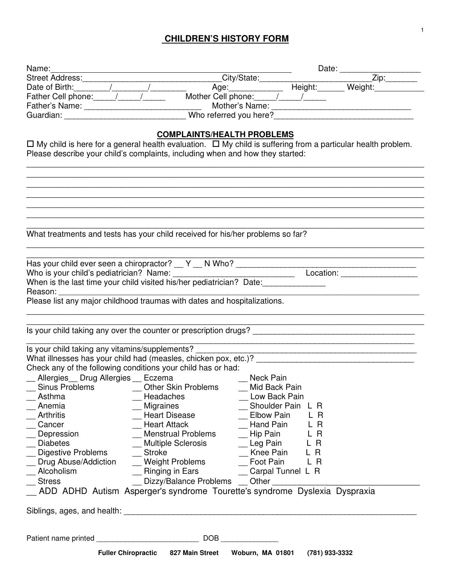## **CHILDREN'S HISTORY FORM**

| Name:<br>Street Address: City/State: Date: Zip:<br>Date of Birth: / / / Age: Height: Veight: Veight: Zip:<br>Father Cell phone: / / / Mother Cell phone: / / / / Weight: Weight:                                               |                                         |                        |                   |                                                     |
|--------------------------------------------------------------------------------------------------------------------------------------------------------------------------------------------------------------------------------|-----------------------------------------|------------------------|-------------------|-----------------------------------------------------|
|                                                                                                                                                                                                                                |                                         |                        |                   |                                                     |
|                                                                                                                                                                                                                                |                                         |                        |                   |                                                     |
|                                                                                                                                                                                                                                |                                         |                        |                   | Mother's Name: William State And The Mother's Name: |
| Guardian: Who referred you here?                                                                                                                                                                                               |                                         |                        |                   |                                                     |
|                                                                                                                                                                                                                                |                                         |                        |                   |                                                     |
| $\Box$ My child is here for a general health evaluation. $\Box$ My child is suffering from a particular health problem.                                                                                                        | <b>COMPLAINTS/HEALTH PROBLEMS</b>       |                        |                   |                                                     |
| Please describe your child's complaints, including when and how they started:                                                                                                                                                  |                                         |                        |                   |                                                     |
|                                                                                                                                                                                                                                |                                         |                        |                   |                                                     |
|                                                                                                                                                                                                                                |                                         |                        |                   |                                                     |
|                                                                                                                                                                                                                                |                                         |                        |                   |                                                     |
|                                                                                                                                                                                                                                |                                         |                        |                   |                                                     |
|                                                                                                                                                                                                                                |                                         |                        |                   |                                                     |
|                                                                                                                                                                                                                                |                                         |                        |                   |                                                     |
|                                                                                                                                                                                                                                |                                         |                        |                   |                                                     |
| What treatments and tests has your child received for his/her problems so far?                                                                                                                                                 |                                         |                        |                   |                                                     |
|                                                                                                                                                                                                                                |                                         |                        |                   |                                                     |
|                                                                                                                                                                                                                                |                                         |                        |                   |                                                     |
|                                                                                                                                                                                                                                |                                         |                        |                   |                                                     |
|                                                                                                                                                                                                                                |                                         |                        |                   |                                                     |
| When is the last time your child visited his/her pediatrician? Date:                                                                                                                                                           |                                         |                        |                   |                                                     |
| Reason: The contract of the contract of the contract of the contract of the contract of the contract of the contract of the contract of the contract of the contract of the contract of the contract of the contract of the co |                                         |                        |                   |                                                     |
| Please list any major childhood traumas with dates and hospitalizations.                                                                                                                                                       |                                         |                        |                   |                                                     |
|                                                                                                                                                                                                                                |                                         |                        |                   |                                                     |
|                                                                                                                                                                                                                                |                                         |                        |                   |                                                     |
| Is your child taking any over the counter or prescription drugs?                                                                                                                                                               |                                         |                        |                   |                                                     |
| Is your child taking any vitamins/supplements?                                                                                                                                                                                 |                                         |                        |                   |                                                     |
| What illnesses has your child had (measles, chicken pox, etc.)?                                                                                                                                                                |                                         |                        |                   |                                                     |
| Check any of the following conditions your child has or had:                                                                                                                                                                   |                                         |                        |                   |                                                     |
| _ Allergies Drug Allergies Eczema                                                                                                                                                                                              |                                         | Neck Pain              |                   |                                                     |
| Sinus Problems [14]                                                                                                                                                                                                            | Other Skin Problems                     | Mid Back Pain          |                   |                                                     |
| Asthma                                                                                                                                                                                                                         | Headaches                               | Low Back Pain          |                   |                                                     |
| Anemia                                                                                                                                                                                                                         | <b>Migraines</b>                        |                        | Shoulder Pain L R |                                                     |
| <b>Arthritis</b>                                                                                                                                                                                                               | <b>Heart Disease</b>                    | <b>Elbow Pain</b>      | L R               |                                                     |
| Cancer                                                                                                                                                                                                                         | <b>Heart Attack</b>                     | Hand Pain              | L R               |                                                     |
| Depression                                                                                                                                                                                                                     | <b>Menstrual Problems</b>               | Hip Pain               | L R               |                                                     |
| <b>Diabetes</b>                                                                                                                                                                                                                | <b>Multiple Sclerosis</b>               |                        | L R               |                                                     |
|                                                                                                                                                                                                                                |                                         | Leg Pain               |                   |                                                     |
| Digestive Problems<br>Drug Abuse/Addiction                                                                                                                                                                                     | <b>Stroke</b><br><b>Weight Problems</b> | Knee Pain<br>Foot Pain | L R<br>L R        |                                                     |
| Alcoholism                                                                                                                                                                                                                     |                                         |                        | Carpal Tunnel L R |                                                     |
|                                                                                                                                                                                                                                | Ringing in Ears                         |                        |                   |                                                     |
| <b>Stress</b>                                                                                                                                                                                                                  | Dizzy/Balance Problems __ Other         |                        |                   |                                                     |
| _ ADD ADHD Autism Asperger's syndrome Tourette's syndrome Dyslexia Dyspraxia                                                                                                                                                   |                                         |                        |                   |                                                     |
|                                                                                                                                                                                                                                |                                         |                        |                   |                                                     |
| Siblings, ages, and health: <b>All and Accept and Accept and Accept and Accept and Accept and Accept</b> and Accept and                                                                                                        |                                         |                        |                   |                                                     |
|                                                                                                                                                                                                                                |                                         |                        |                   |                                                     |
|                                                                                                                                                                                                                                |                                         |                        |                   |                                                     |
|                                                                                                                                                                                                                                | Fuller Chiropractic 827 Main Street     | Woburn, MA 01801       | (781) 933-3332    |                                                     |
|                                                                                                                                                                                                                                |                                         |                        |                   |                                                     |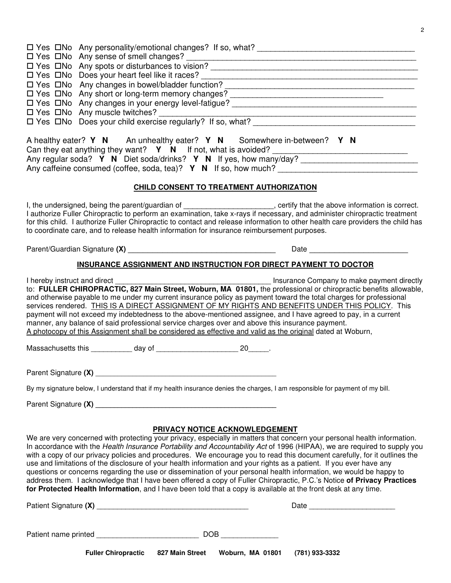| <b>Fuller Chiropractic</b><br>(781) 933-3332<br>827 Main Street<br>Woburn, MA 01801                                                                                                                                                                                                                                                                                                                                                                                                                                                                                                                                                                                                                                                                                                                                                                                                                           |  |  |  |  |  |
|---------------------------------------------------------------------------------------------------------------------------------------------------------------------------------------------------------------------------------------------------------------------------------------------------------------------------------------------------------------------------------------------------------------------------------------------------------------------------------------------------------------------------------------------------------------------------------------------------------------------------------------------------------------------------------------------------------------------------------------------------------------------------------------------------------------------------------------------------------------------------------------------------------------|--|--|--|--|--|
|                                                                                                                                                                                                                                                                                                                                                                                                                                                                                                                                                                                                                                                                                                                                                                                                                                                                                                               |  |  |  |  |  |
|                                                                                                                                                                                                                                                                                                                                                                                                                                                                                                                                                                                                                                                                                                                                                                                                                                                                                                               |  |  |  |  |  |
| PRIVACY NOTICE ACKNOWLEDGEMENT<br>We are very concerned with protecting your privacy, especially in matters that concern your personal health information.<br>In accordance with the Health Insurance Portability and Accountability Act of 1996 (HIPAA), we are required to supply you<br>with a copy of our privacy policies and procedures. We encourage you to read this document carefully, for it outlines the<br>use and limitations of the disclosure of your health information and your rights as a patient. If you ever have any<br>questions or concerns regarding the use or dissemination of your personal health information, we would be happy to<br>address them. I acknowledge that I have been offered a copy of Fuller Chiropractic, P.C.'s Notice of Privacy Practices<br>for Protected Health Information, and I have been told that a copy is available at the front desk at any time. |  |  |  |  |  |
|                                                                                                                                                                                                                                                                                                                                                                                                                                                                                                                                                                                                                                                                                                                                                                                                                                                                                                               |  |  |  |  |  |
| By my signature below, I understand that if my health insurance denies the charges, I am responsible for payment of my bill.                                                                                                                                                                                                                                                                                                                                                                                                                                                                                                                                                                                                                                                                                                                                                                                  |  |  |  |  |  |
| Parent Signature (X) New York Contract and Signature Contract of the Signature Contract of the Signature Contract of the Signature Contract of the Signature Contract of the Signature Contract of the Signature Contract of t                                                                                                                                                                                                                                                                                                                                                                                                                                                                                                                                                                                                                                                                                |  |  |  |  |  |
| $20$ ______.                                                                                                                                                                                                                                                                                                                                                                                                                                                                                                                                                                                                                                                                                                                                                                                                                                                                                                  |  |  |  |  |  |
| Insurance Company to make payment directly<br>I hereby instruct and direct<br>Insurance Company to make payment directly<br>to: FULLER CHIROPRACTIC, 827 Main Street, Woburn, MA 01801, the professional or chiropractic benefits allowable,<br>and otherwise payable to me under my current insurance policy as payment toward the total charges for professional<br>services rendered. THIS IS A DIRECT ASSIGNMENT OF MY RIGHTS AND BENEFITS UNDER THIS POLICY. This<br>payment will not exceed my indebtedness to the above-mentioned assignee, and I have agreed to pay, in a current<br>manner, any balance of said professional service charges over and above this insurance payment.<br>A photocopy of this Assignment shall be considered as effective and valid as the original dated at Woburn,                                                                                                    |  |  |  |  |  |
| INSURANCE ASSIGNMENT AND INSTRUCTION FOR DIRECT PAYMENT TO DOCTOR                                                                                                                                                                                                                                                                                                                                                                                                                                                                                                                                                                                                                                                                                                                                                                                                                                             |  |  |  |  |  |
| Date and the contract of the contract of the contract of the contract of the contract of the contract of the contract of the contract of the contract of the contract of the contract of the contract of the contract of the c                                                                                                                                                                                                                                                                                                                                                                                                                                                                                                                                                                                                                                                                                |  |  |  |  |  |
| I, the undersigned, being the parent/guardian of ______________________, certify that the above information is correct.<br>I authorize Fuller Chiropractic to perform an examination, take x-rays if necessary, and administer chiropractic treatment<br>for this child. I authorize Fuller Chiropractic to contact and release information to other health care providers the child has<br>to coordinate care, and to release health information for insurance reimbursement purposes.                                                                                                                                                                                                                                                                                                                                                                                                                       |  |  |  |  |  |
| CHILD CONSENT TO TREATMENT AUTHORIZATION                                                                                                                                                                                                                                                                                                                                                                                                                                                                                                                                                                                                                                                                                                                                                                                                                                                                      |  |  |  |  |  |
| A healthy eater? Y N An unhealthy eater? Y N Somewhere in-between? Y N<br>Can they eat anything they want? Y N If not, what is avoided?<br>Any caffeine consumed (coffee, soda, tea)? $Y \ N$ If so, how much?                                                                                                                                                                                                                                                                                                                                                                                                                                                                                                                                                                                                                                                                                                |  |  |  |  |  |
| □ Yes □No Any changes in bowel/bladder function?<br>□ Yes □No Any short or long-term memory changes?<br>□ Yes □No Any short or long-term memory changes?<br>$\Box$ Yes $\Box$ No Does your child exercise regularly? If so, what?                                                                                                                                                                                                                                                                                                                                                                                                                                                                                                                                                                                                                                                                             |  |  |  |  |  |
| $\Box$ Yes $\Box$ No Does your heart feel like it races?                                                                                                                                                                                                                                                                                                                                                                                                                                                                                                                                                                                                                                                                                                                                                                                                                                                      |  |  |  |  |  |
|                                                                                                                                                                                                                                                                                                                                                                                                                                                                                                                                                                                                                                                                                                                                                                                                                                                                                                               |  |  |  |  |  |